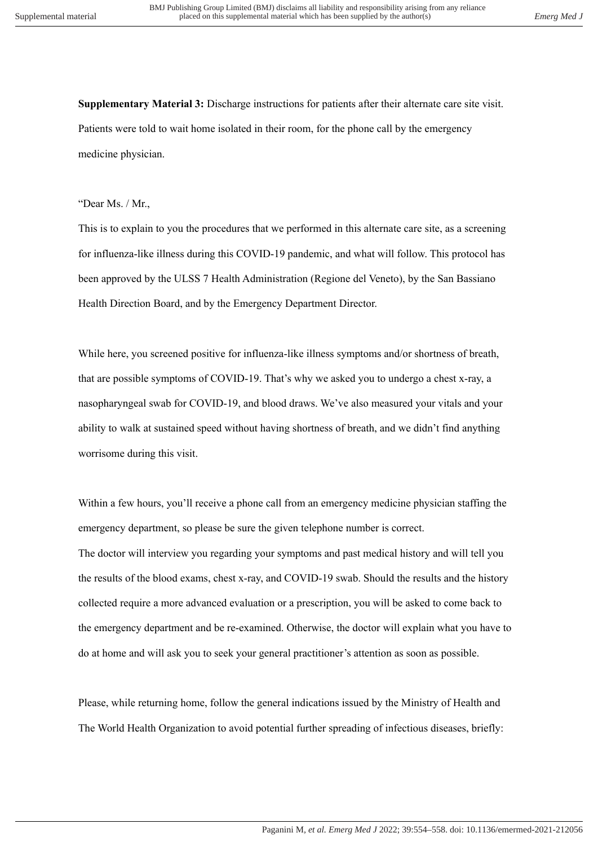**Supplementary Material 3:** Discharge instructions for patients after their alternate care site visit. Patients were told to wait home isolated in their room, for the phone call by the emergency medicine physician.

## "Dear Ms. / Mr.,

This is to explain to you the procedures that we performed in this alternate care site, as a screening for influenza-like illness during this COVID-19 pandemic, and what will follow. This protocol has been approved by the ULSS 7 Health Administration (Regione del Veneto), by the San Bassiano Health Direction Board, and by the Emergency Department Director.

While here, you screened positive for influenza-like illness symptoms and/or shortness of breath, that are possible symptoms of COVID-19. That's why we asked you to undergo a chest x-ray, a nasopharyngeal swab for COVID-19, and blood draws. We've also measured your vitals and your ability to walk at sustained speed without having shortness of breath, and we didn't find anything worrisome during this visit.

Within a few hours, you'll receive a phone call from an emergency medicine physician staffing the emergency department, so please be sure the given telephone number is correct. The doctor will interview you regarding your symptoms and past medical history and will tell you the results of the blood exams, chest x-ray, and COVID-19 swab. Should the results and the history collected require a more advanced evaluation or a prescription, you will be asked to come back to the emergency department and be re-examined. Otherwise, the doctor will explain what you have to do at home and will ask you to seek your general practitioner's attention as soon as possible.

Please, while returning home, follow the general indications issued by the Ministry of Health and The World Health Organization to avoid potential further spreading of infectious diseases, briefly: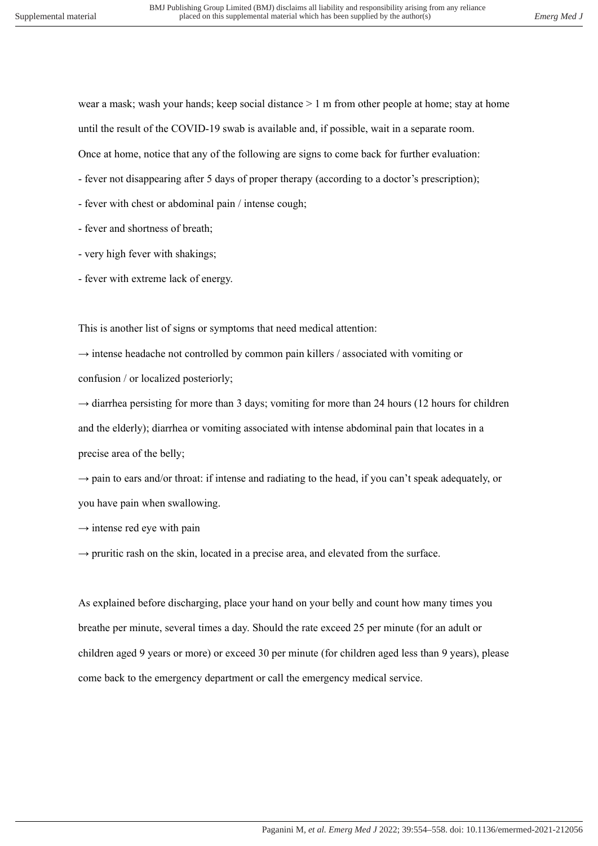wear a mask; wash your hands; keep social distance  $> 1$  m from other people at home; stay at home until the result of the COVID-19 swab is available and, if possible, wait in a separate room. Once at home, notice that any of the following are signs to come back for further evaluation:

- fever not disappearing after 5 days of proper therapy (according to a doctor's prescription);

- fever with chest or abdominal pain / intense cough;
- fever and shortness of breath;
- very high fever with shakings;
- fever with extreme lack of energy.

This is another list of signs or symptoms that need medical attention:

 $\rightarrow$  intense headache not controlled by common pain killers / associated with vomiting or confusion / or localized posteriorly;

 $\rightarrow$  diarrhea persisting for more than 3 days; vomiting for more than 24 hours (12 hours for children and the elderly); diarrhea or vomiting associated with intense abdominal pain that locates in a precise area of the belly;

 $\rightarrow$  pain to ears and/or throat: if intense and radiating to the head, if you can't speak adequately, or you have pain when swallowing.

 $\rightarrow$  intense red eye with pain

 $\rightarrow$  pruritic rash on the skin, located in a precise area, and elevated from the surface.

As explained before discharging, place your hand on your belly and count how many times you breathe per minute, several times a day. Should the rate exceed 25 per minute (for an adult or children aged 9 years or more) or exceed 30 per minute (for children aged less than 9 years), please come back to the emergency department or call the emergency medical service.